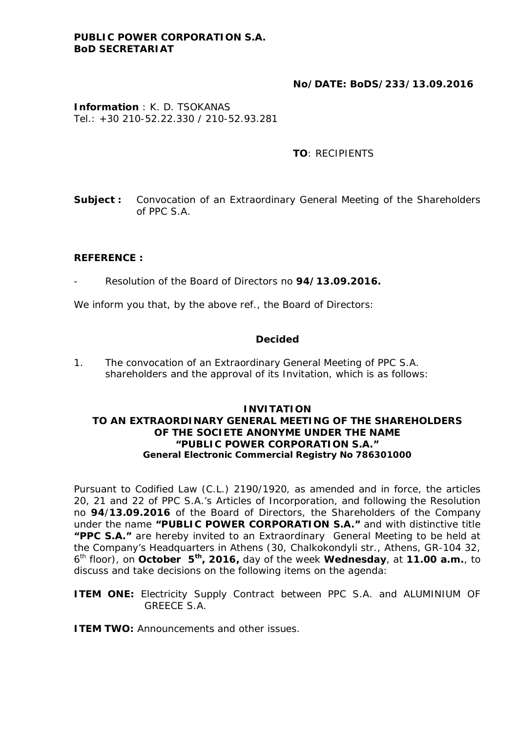## **No/DATE: BoDS/233/13.09.2016**

**Information** : K. D. TSOKANAS Tel.: +30 210-52.22.330 / 210-52.93.281

# **TO**: RECIPIENTS

**Subject :** Convocation of an Extraordinary General Meeting of the Shareholders of PPC S.A.

**REFERENCE :** 

- Resolution of the Board of Directors no **94/13.09.2016.** 

We inform you that, by the above ref., the Board of Directors:

### **Decided**

1. The convocation of an Extraordinary General Meeting of PPC S.A. shareholders and the approval of its Invitation, which is as follows:

#### **INVITATION**

# **TO AN EXTRAORDINARY GENERAL MEETING OF THE SHAREHOLDERS OF THE SOCIETE ANONYME UNDER THE NAME "PUBLIC POWER CORPORATION S.A." General Electronic Commercial Registry No 786301000**

Pursuant to Codified Law (C.L.) 2190/1920, as amended and in force, the articles 20, 21 and 22 of PPC S.A.'s Articles of Incorporation, and following the Resolution no **94**/**13.09.2016** of the Board of Directors, the Shareholders of the Company under the name **"PUBLIC POWER CORPORATION S.A."** and with distinctive title **"PPC S.A."** are hereby invited to an Extraordinary General Meeting to be held at the Company's Headquarters in Athens (30, Chalkokondyli str., Athens, GR-104 32, 6 th floor), on **October 5th, 2016,** day of the week **Wednesday**, at **11.00 a.m.**, to discuss and take decisions on the following items on the agenda:

**ITEM ONE:** Electricity Supply Contract between PPC S.A. and ALUMINIUM OF GREECE S.A.

**ITEM TWO:** Announcements and other issues.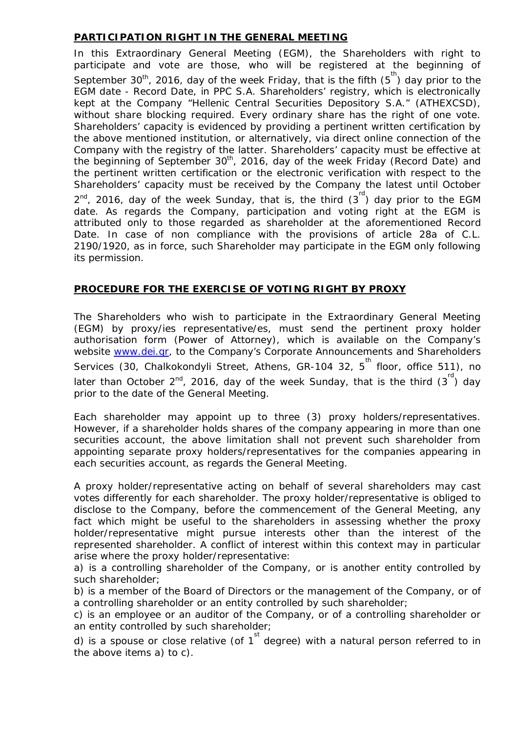# **PARTICIPATION RIGHT IN THE GENERAL MEETING**

In this Extraordinary General Meeting (EGM), the Shareholders with right to participate and vote are those, who will be registered at the beginning of September 30<sup>th</sup>, 2016, day of the week Friday, that is the fifth  $(5^{th})$  day prior to the EGM date - Record Date, in PPC S.A. Shareholders' registry, which is electronically kept at the Company "Hellenic Central Securities Depository S.A." (ATHEXCSD), without share blocking required. Every ordinary share has the right of one vote. Shareholders' capacity is evidenced by providing a pertinent written certification by the above mentioned institution, or alternatively, via direct online connection of the Company with the registry of the latter. Shareholders' capacity must be effective at the beginning of September 30<sup>th</sup>, 2016, day of the week Friday (Record Date) and the pertinent written certification or the electronic verification with respect to the Shareholders' capacity must be received by the Company the latest until October  $2^{nd}$ , 2016, day of the week Sunday, that is, the third  $(3^{rd})$  day prior to the EGM date. As regards the Company, participation and voting right at the EGM is attributed only to those regarded as shareholder at the aforementioned Record Date. In case of non compliance with the provisions of article 28a of C.L. 2190/1920, as in force, such Shareholder may participate in the EGM only following its permission.

# **PROCEDURE FOR THE EXERCISE OF VOTING RIGHT BY PROXY**

The Shareholders who wish to participate in the Extraordinary General Meeting (EGM) by proxy/ies representative/es, must send the pertinent proxy holder authorisation form (Power of Attorney), which is available on the Company's website [www.dei.gr](http://www.dei.gr/), to the Company's Corporate Announcements and Shareholders Services (30, Chalkokondyli Street, Athens, GR-104 32, 5<sup>th</sup> floor, office 511), no later than October 2<sup>nd</sup>, 2016, day of the week Sunday, that is the third  $\binom{3}{1}$  day prior to the date of the General Meeting.

Each shareholder may appoint up to three (3) proxy holders/representatives. However, if a shareholder holds shares of the company appearing in more than one securities account, the above limitation shall not prevent such shareholder from appointing separate proxy holders/representatives for the companies appearing in each securities account, as regards the General Meeting.

A proxy holder/representative acting on behalf of several shareholders may cast votes differently for each shareholder. The proxy holder/representative is obliged to disclose to the Company, before the commencement of the General Meeting, any fact which might be useful to the shareholders in assessing whether the proxy holder/representative might pursue interests other than the interest of the represented shareholder. A conflict of interest within this context may in particular arise where the proxy holder/representative:

a) is a controlling shareholder of the Company, or is another entity controlled by such shareholder;

b) is a member of the Board of Directors or the management of the Company, or of a controlling shareholder or an entity controlled by such shareholder;

c) is an employee or an auditor of the Company, or of a controlling shareholder or an entity controlled by such shareholder;

d) is a spouse or close relative (of  $1^{st}$  degree) with a natural person referred to in the above items a) to c).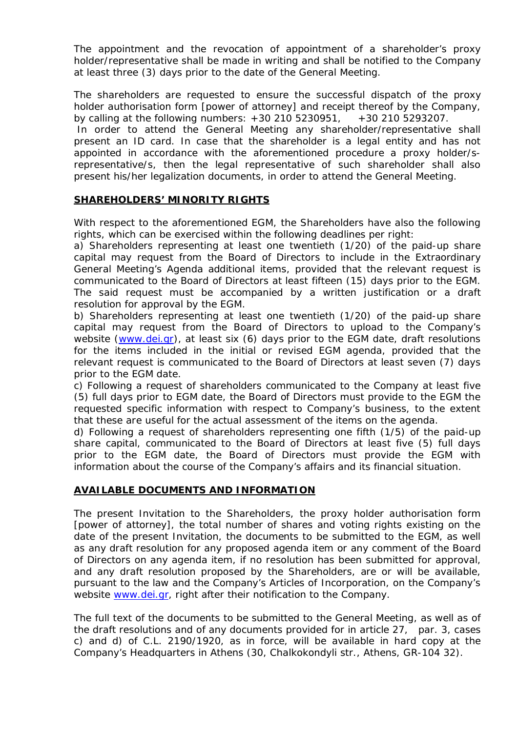The appointment and the revocation of appointment of a shareholder's proxy holder/representative shall be made in writing and shall be notified to the Company at least three (3) days prior to the date of the General Meeting.

The shareholders are requested to ensure the successful dispatch of the proxy holder authorisation form [power of attorney] and receipt thereof by the Company, by calling at the following numbers:  $+30, 210, 5230951, +30, 210, 5293207$ .

 In order to attend the General Meeting any shareholder/representative shall present an ID card. In case that the shareholder is a legal entity and has not appointed in accordance with the aforementioned procedure a proxy holder/srepresentative/s, then the legal representative of such shareholder shall also present his/her legalization documents, in order to attend the General Meeting.

## **SHAREHOLDERS' MINORITY RIGHTS**

With respect to the aforementioned EGM, the Shareholders have also the following rights, which can be exercised within the following deadlines per right:

a) Shareholders representing at least one twentieth (1/20) of the paid-up share capital may request from the Board of Directors to include in the Extraordinary General Meeting's Agenda additional items, provided that the relevant request is communicated to the Board of Directors at least fifteen (15) days prior to the EGM. The said request must be accompanied by a written justification or a draft resolution for approval by the EGM.

b) Shareholders representing at least one twentieth (1/20) of the paid-up share capital may request from the Board of Directors to upload to the Company's website [\(www.dei.gr](http://www.dei.gr/)), at least six (6) days prior to the EGM date, draft resolutions for the items included in the initial or revised EGM agenda, provided that the relevant request is communicated to the Board of Directors at least seven (7) days prior to the EGM date.

c) Following a request of shareholders communicated to the Company at least five (5) full days prior to EGM date, the Board of Directors must provide to the EGM the requested specific information with respect to Company's business, to the extent that these are useful for the actual assessment of the items on the agenda.

d) Following a request of shareholders representing one fifth (1/5) of the paid-up share capital, communicated to the Board of Directors at least five (5) full days prior to the EGM date, the Board of Directors must provide the EGM with information about the course of the Company's affairs and its financial situation.

### **AVAILABLE DOCUMENTS AND INFORMATION**

The present Invitation to the Shareholders, the proxy holder authorisation form [power of attorney], the total number of shares and voting rights existing on the date of the present Invitation, the documents to be submitted to the EGM, as well as any draft resolution for any proposed agenda item or any comment of the Board of Directors on any agenda item, if no resolution has been submitted for approval, and any draft resolution proposed by the Shareholders, are or will be available, pursuant to the law and the Company's Articles of Incorporation, on the Company's website [www.dei.gr,](http://www.dei.gr/) right after their notification to the Company.

The full text of the documents to be submitted to the General Meeting, as well as of the draft resolutions and of any documents provided for in article 27, par. 3, cases c) and d) of C.L. 2190/1920, as in force, will be available in hard copy at the Company's Headquarters in Athens (30, Chalkokondyli str., Athens, GR-104 32).